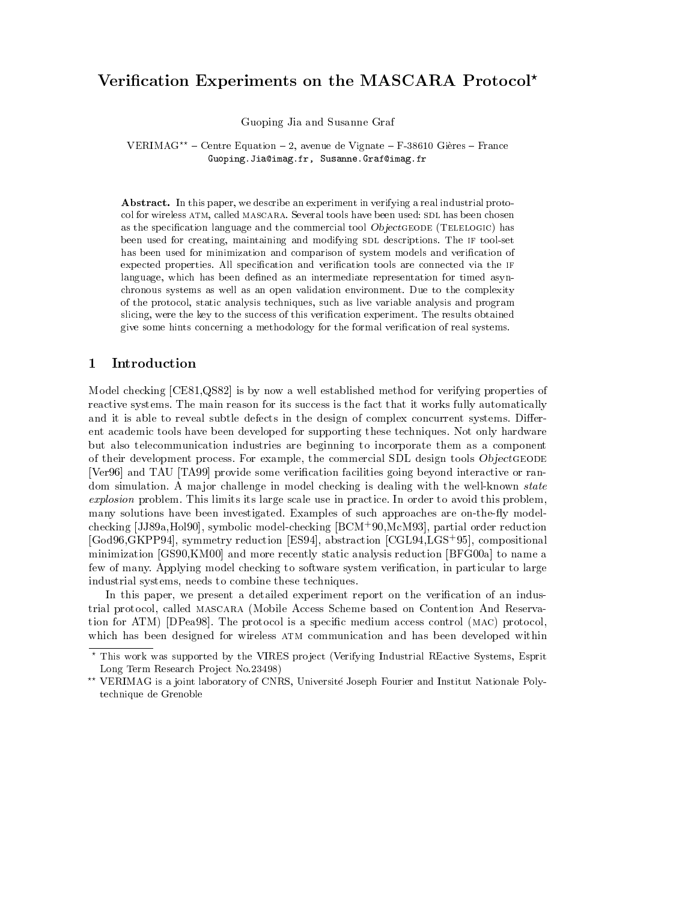# Verification Experiments on the MASCARA Protocol<sup>\*</sup>

Guoping Jia and Susanne Graf

VERIMAG<sup>\*\*</sup> – Centre Equation – 2, avenue de Vignate – F-38610 Gières – France Guoping.Jia@imag.fr, Susanne.Graf@imag.fr

Abstract. In this paper, we describe an experiment in verifying a real industrial protocol for wireless ATM, called MASCARA. Several tools have been used: SDL has been chosen as the specification language and the commercial tool ObjectGEODE (TELELOGIC) has been used for creating, maintaining and modifying SDL descriptions. The IF tool-set has been used for minimization and comparison of system models and verification of expected properties. All specification and verification tools are connected via the IF language, which has been defined as an intermediate representation for timed asynchronous systems as well as an open validation environment. Due to the complexity of the protocol, static analysis techniques, such as live variable analysis and program slicing, were the key to the success of this verification experiment. The results obtained give some hints concerning a methodology for the formal verication of real systems.

## 1 Introduction

Model checking [CE81,QS82] is by now a well established method for verifying properties of reactive systems. The main reason for its success is the fact that it works fully automatically and it is able to reveal subtle defects in the design of complex concurrent systems. Different academic tools have been developed for supporting these techniques. Not only hardware but also telecommunication industries are beginning to incorporate them as a component of their development process. For example, the commercial SDL design tools Objectgeode [Ver96] and TAU [TA99] provide some verication facilities going beyond interactive or random simulation. A major challenge in model checking is dealing with the well-known *state* explosion problem. This limits its large scale use in practice. In order to avoid this problem, many solutions have been investigated. Examples of such approaches are on-the-fly modelchecking [JJ89a,Hol90], symbolic model-checking [BCM+ 90,McM93], partial order reduction [God96,GKPP94], symmetry reduction [ES94], abstraction [CGL94,LGS+ 95], compositional minimization [GS90,KM00] and more recently static analysis reduction [BFG00a] to name a few of many. Applying model checking to software system verification, in particular to large industrial systems, needs to combine these techniques.

In this paper, we present a detailed experiment report on the verification of an industrial protocol, called mascara (Mobile Access Scheme based on Contention And Reservation for ATM) [DPea98]. The protocol is a specic medium access control (mac) protocol, which has been designed for wireless ATM communication and has been developed within

<sup>?</sup> This work wassupported by the VIRES pro ject (Verifying Industrial REactive Systems, Esprit Long Term Research Project No.23498)

<sup>??</sup> VERIMAG is a joint laboratory of CNRS, Universite Joseph Fourier and Institut Nationale Polytechnique de Grenoble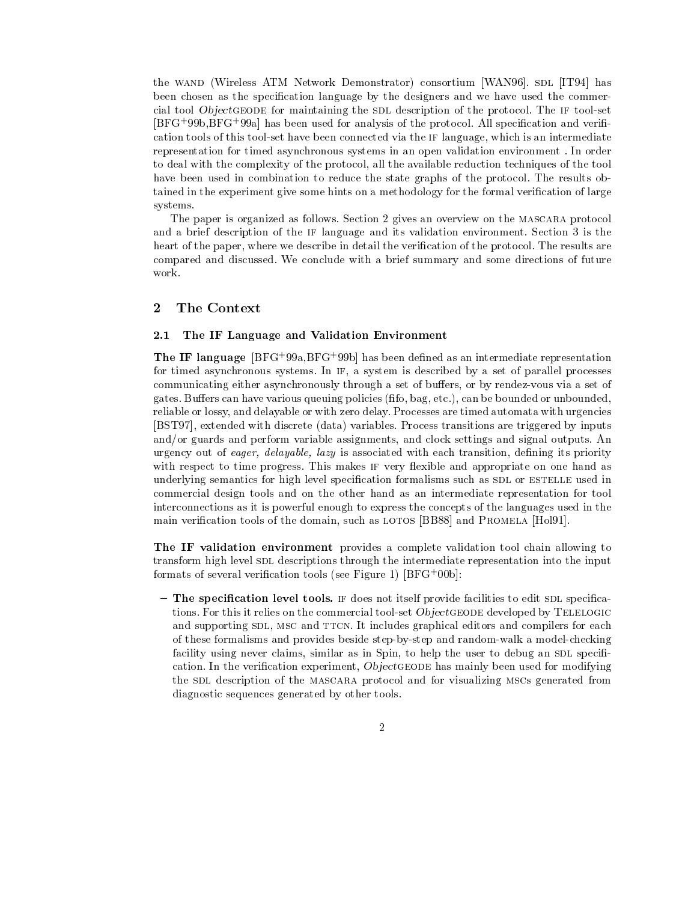the WAND (Wireless ATM Network Demonstrator) consortium [WAN96]. SDL [IT94] has been chosen as the specication language by the designers and we have used the commercial tool ObjectGEODE for maintaining the SDL description of the protocol. The IF tool-set  $|{\rm DFA-330,DFA-3330}|$  has been used for analysis of the protocol. All specification and verification tools of this tool-set have been connected via the if language, which is an intermediate representation for timed asynchronous systems in an open validation environment . In order to deal with thecomplexity of the protocol, all the available reduction techniques of the tool have been used in combination to reduce the state graphs of the protocol. The results obtained in the experiment give some hints on amethodology for the formal verication of large systems.

The paper is organized as follows. Section 2 gives an overview on the MASCARA protocol and a brief description of the IF language and its validation environment. Section 3 is the heart of the paper, where we describe in detail the verification of the protocol. The results are compared and discussed. We conclude with abrief summary and some directions of future work.

#### $\overline{2}$ The Context

#### $2.1$ The IF Language and Validation Environment

The IF language [BFG+ 99a,BFG+ 99b] has been dened as an intermediate representation for timed asynchronous systems. In if, a system is described by a set of parallel processes communicating either asynchronously through a set of buffers, or by rendez-vous via a set of gates. Buffers can have various queuing policies (fifo, bag, etc.), can be bounded or unbounded, reliable or lossy, and delayable or with zero delay. Processes are timed automata with urgencies [BST97], extended with discrete (data) variables. Process transitions are triggered by inputs and/or guards and perform variable assignments, and clock settings and signal outputs. An urgency out of *eager*, *delayable*, *lazy* is associated with each transition, defining its priority with respect to time progress. This makes IF very flexible and appropriate on one hand as underlying semantics for high level specification formalisms such as SDL or ESTELLE used in commercial design toolsand on the other hand as an intermediate representation for tool interconnections as it is powerful enough to express the concepts of the languages used in the main verification tools of the domain, such as LOTOS [BB88] and PROMELA [Hol91].

The IF validation environment provides a complete validation tool chain allowing to transform high level SDL descriptions through the intermediate representation into the input formats of several verication tools (see Figure 1) [BFG+ 00b]:

 $-$  The specification level tools. If does not itself provide facilities to edit SDL specifications. For this it relies on the commercial tool-set ObjectGEODE developed by TELELOGIC and supporting SDL, MSC and TTCN. It includes graphical editors and compilers for each of these formalisms and provides beside step-by-step and random-walk a model-checking facility using never claims, similar as in Spin, to help the user to debug an SDL specification. In the verification experiment, ObjectGEODE has mainly been used for modifying the SDL description of the MASCARA protocol and for visualizing MSCs generated from diagnostic sequences generated by other tools.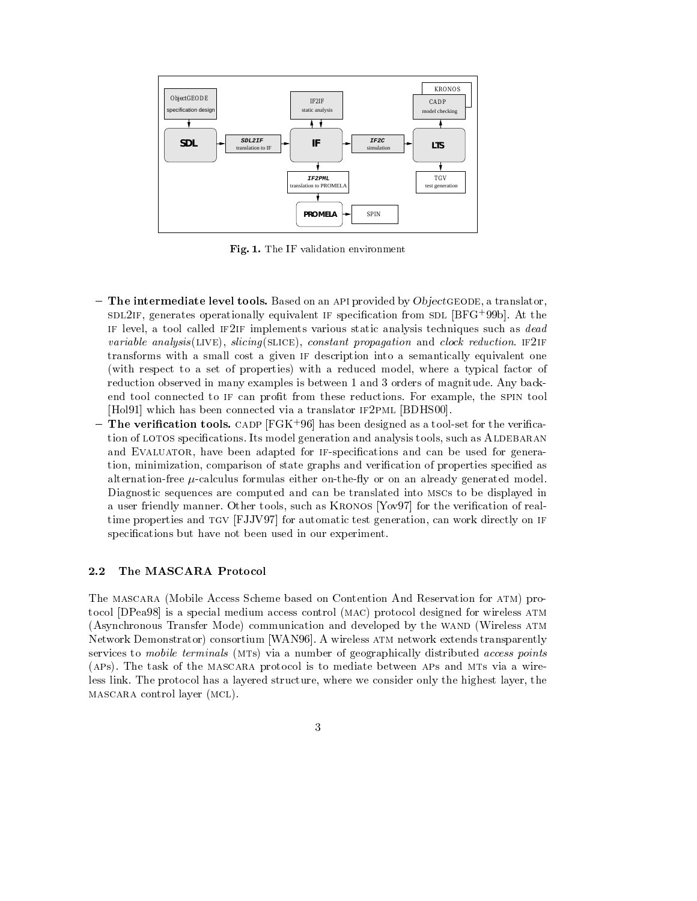

Fig. 1. The IF validation environment

- The intermediate level tools. Based on an API provided by ObjectGEODE, a translator, sdl2if, generates operationally equivalent if specication from sdl [BFG<sup>+</sup> 99b]. At the IF level, a tool called IF2IF implements various static analysis techniques such as  $dead$ variable analysis (LIVE), slicing (SLICE), constant propagation and clock reduction. IF  $2IF$ transforms with a small cost a given if description into a semantically equivalent one (with respect to a set of properties) with a reduced model, where a typical factor of reduction observed in many examples is between 1and 3orders of magnitude. Any backend tool connected to if can prot from these reductions. For example, the spin tool [Hol91] which has been connected via a translator IF2PML [BDHS00].
- $-$  1 ne verification tools. CADP [FGK+30] has been designed as a tool-set for the verification of LOTOS specifications. Its model generation and analysis tools, such as ALDEBARAN and EVALUATOR, have been adapted for IF-specifications and can be used for generation, minimization, comparison of state graphs and verification of properties specified as alternation-free  $\mu$ -calculus formulas either on-the-fly or on an already generated model. Diagnostic sequences are computed and can be translated into mscs to be displayed in a user friendly manner. Other tools, such as KRONOS [Yov97] for the verification of realtime properties and TGV [FJJV97] for automatic test generation, can work directly on IF specifications but have not been used in our experiment.

#### $2.2$ The MASCARA Protocol

The mascara (Mobile Access Scheme based on Contention And Reservation for atm) protocol [DPea98] is a special medium access control (mac) protocol designed for wireless atm (Asynchronous Transfer Mode) communication and developed by the WAND (Wireless ATM Network Demonstrator) consortium [WAN96]. A wireless atm network extends transparently services to *mobile terminals* (MTs) via a number of geographically distributed *access points* (APs). The task of the MASCARA protocol is to mediate between APs and MTs via a wireless link. The protocol has a layered structure, where we consider only the highest layer, the mascara control layer (mcl).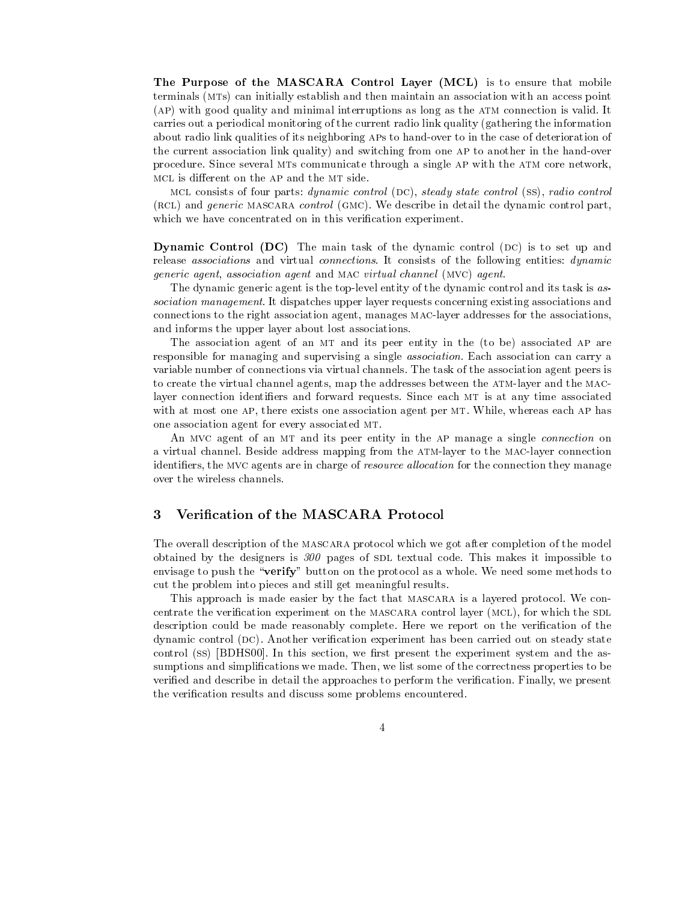The Purpose of the MASCARA Control Layer (MCL) is to ensure that mobile terminals (mts) can initially establish and then maintain an association with an access point (ap) with good quality and minimal interruptions as long as the atm connection is valid. It carries out a periodical monitoring of the current radio link quality (gathering the information about radio link qualities of its neighboring aps to hand-over to in thecase of deterioration of the current association link quality) and switching from one AP to another in the hand-over procedure. Since several mts communicate through asingle ap with the atm core network, MCL is different on the AP and the MT side.

MCL consists of four parts: dynamic control (DC), steady state control (SS), radio control (rcl) and generic mascara control (gmc). We describe in detail the dynamic control part, which we have concentrated on in this verification experiment.

**Dynamic Control (DC)** The main task of the dynamic control  $(DC)$  is to set up and release *associations* and virtual *connections*. It consists of the following entities: *dynamic* generic agent, association agent and mac virtual channel (mvc) agent.

The dynamic generic agent is the top-level entity of the dynamic control and its task is as sociation management. It dispatches upper layer requests concerning existing associations and connections to the right association agent, manages mac-layer addresses for the associations, and informs the upper layer about lost associations.

The association agent of an MT and its peer entity in the (to be) associated AP are responsible for managing and supervising a single association. Each association can carry a variable number of connections via virtual channels. The task of the association agent peers is to create the virtual channel agents, map the addresses between the ATM-layer and the MAClayer connection identifiers and forward requests. Since each  $MT$  is at any time associated with at most one AP, there exists one association agent per MT. While, whereas each AP has one association agent for every associated mt.

An MVC agent of an MT and its peer entity in the AP manage a single *connection* on a virtual channel. Beside address mapping from the atm-layer to the mac-layer connection identifiers, the MVC agents are in charge of *resource allocation* for the connection they manage over the wireless channels.

### $\mathbf{3}$

The overall description of the mascara protocol which we got after completion of the model obtained by the designers is  $300$  pages of SDL textual code. This makes it impossible to envisage to push the "verify" button on the protocol as a whole. We need some methods to cut the problem into pieces and still get meaningful results.

This approach is made easier by the fact that mascara is a layered protocol.We concentrate the verification experiment on the MASCARA control layer (MCL), for which the SDL description could be made reasonably complete. Here we report on the verification of the  $d$ ynamic control  $(DC)$ . Another verification experiment has been carried out on steady state control (ss) [BDHS00]. In this section, we first present the experiment system and the assumptions and simplications we made. Then, we list some of the correctness properties to be verified and describe in detail the approaches to perform the verification. Finally, we present the verication results and discuss some problems encountered.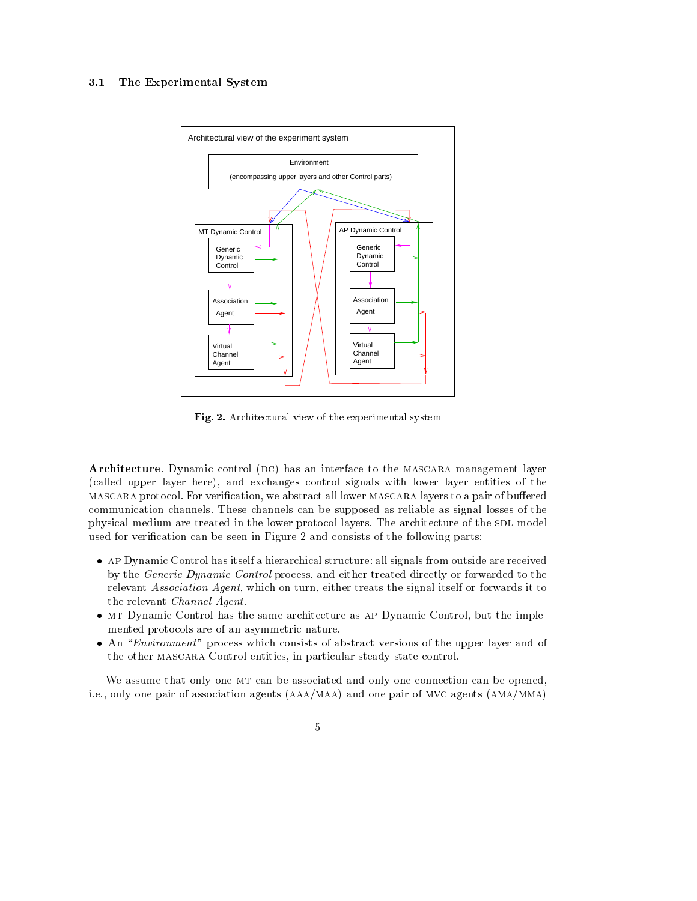### 3.1 The Experimental System



Fig. 2. Architectural view of the experimental system

Architecture. Dynamic control  $(DC)$  has an interface to the MASCARA management layer (called upper layer here), and exchanges control signals with lower layer entities of the mascara protocol. For verification, we abstract all lower mascara layers to a pair of buffered communication channels.These channels can be supposed as reliable as signal losses of the physical medium are treated in the lower protocol layers. The architecture of the SDL model used for verification can be seen in Figure 2 and consists of the following parts:

- ap Dynamic Control has itself a hierarchical structure: all signals from outside are received by the Generic Dynamic Control process, and either treated directly or forwarded to the relevant Association Agent, which on turn, either treats the signal itself or forwards it to the relevant Channel Agent.
- mt Dynamic Control has the same architecture as ap Dynamic Control, but the implemented protocols are of an asymmetric nature.
- An "*Environment*" process which consists of abstract versions of the upper layer and of the other mascara Control entities, in particular steady state control.

We assume that only one MT can be associated and only one connection can be opened, i.e., only one pair of association agents  $(AAA/MAA)$  and one pair of MVC agents  $(AMA/MMA)$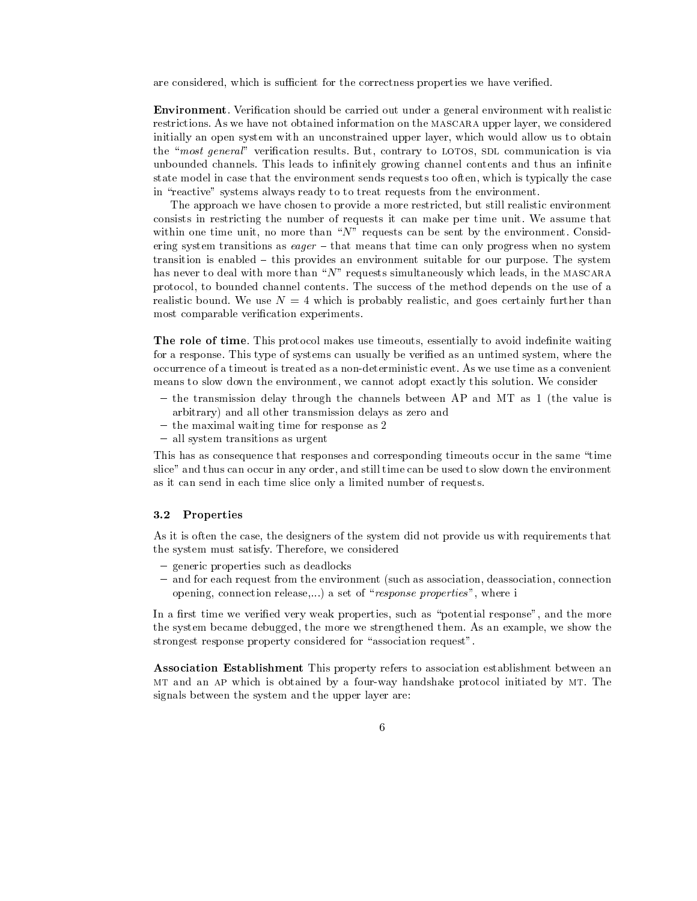are considered, which is sufficient for the correctness properties we have verified.

**Environment**. Verification should be carried out under a general environment with realistic restrictions. As we have not obtained information on the MASCARA upper layer, we considered initially an open system with an unconstrained upper layer, which would allow us to obtain the "most general" verification results. But, contrary to LOTOS, SDL communication is via unbounded channels. This leads to infinitely growing channel contents and thus an infinite state model in case that the environment sends requests too often, which is typically the case in "reactive" systems always ready to to treat requests from the environment.

The approach we have chosen to provide a more restricted, but still realistic environment consists in restricting the number of requests it can make per time unit. We assume that within one time unit, no more than " $N$ " requests can be sent by the environment. Considering system transitions as  $eager - that$  means that time can only progress when no system transition is enabled  $-$  this provides an environment suitable for our purpose. The system has never to deal with more than " $N$ " requests simultaneously which leads, in the MASCARA protocol, to bounded channel contents. The success of the method depends on the use of a realistic bound. We use  $N = 4$  which is probably realistic, and goes certainly further than most comparable verification experiments.

The role of time. This protocol makes use timeouts, essentially to avoid indefinite waiting for a response. This type of systems can usually be verified as an untimed system, where the occurrence of a timeout is treated as a non-deterministic event. As we use time as a convenient means to slow down the environment, we cannot adopt exactly this solution. We consider

- $-$  the transmission delay through the channels between AP and MT as 1 (the value is arbitrary) and all other transmission delays as zero and
- $-$  the maximal waiting time for response as 2
- { all system transitions as urgent

This has as consequence that responses and corresponding timeouts occur in the same "time slice" and thus can occur in any order, and still time can be used to slow down theenvironment as it can send in each time slice only a limited number of requests.

### 3.2 Properties

As it is often thecase, the designers of the system did not provide us with requirements that the system must satisfy. Therefore, we considered

- { generic properties such as deadlocks
- $\frac{1}{\sqrt{a}}$  and for each request from the environment (such as association, deassociation, connection opening, connection release,...) a set of "response properties", where i

In a first time we verified very weak properties, such as "potential response", and the more the system became debugged, the more we strengthened them. As an example, we show the strongest response property considered for "association request".

Association Establishment This property refers to association establishment between an mt and an ap which is obtained by a four-way handshake protocol initiated by mt. The signals between the system and the upper layer are: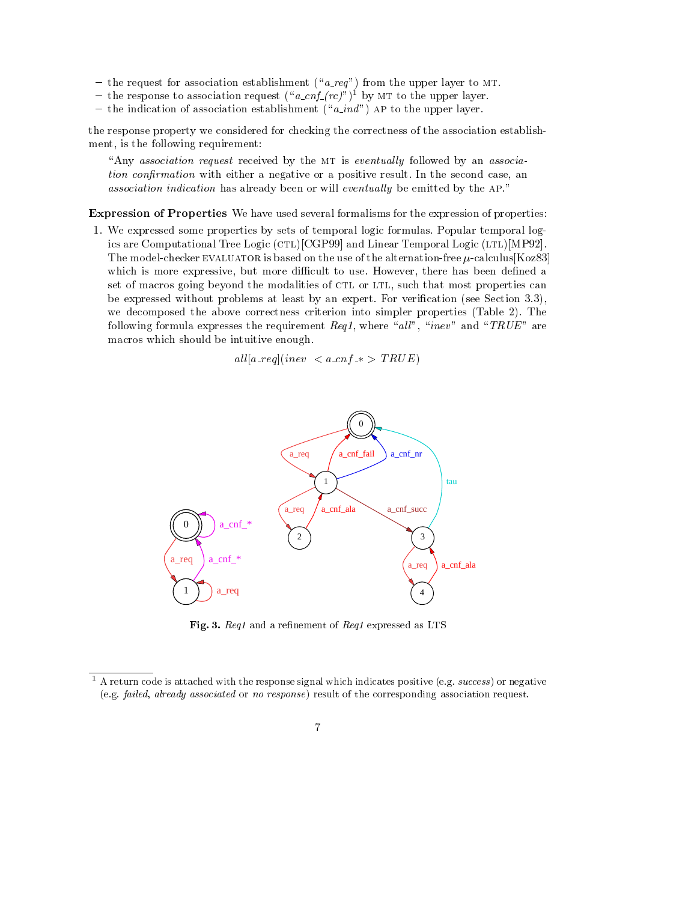- ${}$  the request for association establishment ("a\_req") from the upper layer to MT.
- the response to association request  $(\alpha \ cn\hat{f} (rc)^{n})^{\hat{i}}$  by MT to the upper layer.
- the indication of association establishment (" $a$ <sub>ind</sub>") ap to the upper layer.

the response property we considered for checking the correctness of the association establishment, is the following requirement:

"Any association request received by the MT is eventually followed by an association confirmation with either a negative or a positive result. In the second case, an association indication has already been or will eventually be emitted by the AP."

Expression of Properties We have used several formalisms for the expression of properties:

1. We expressed some properties by sets of temporal logic formulas. Popular temporal logics are Computational Tree Logic (CTL)[CGP99] and Linear Temporal Logic (LTL)[MP92]. The model-checker EVALUATOR is based on the use of the alternation-free  $\mu$ -calculus  $Koz83$ which is more expressive, but more difficult to use. However, there has been defined a set of macros going beyond the modalities of CTL or LTL, such that most properties can be expressed without problems at least by an expert. For verification (see Section 3.3), we decomposed the above correctness criterion into simpler properties (Table 2). The following formula expresses the requirement Req1, where "all", "inev" and "TRUE" are macros which should be intuitive enough.

 $all[a\_req]$ (inev  $\langle a\_cnf \rangle$  > TRUE)



Fig. 3.  $Req1$  and a refinement of  $Req1$  expressed as LTS

 $^\circ$  A return code is attached with the response signal which indicates positive (e.g.  $success$ ) or negative (e.g. failed, already associated or no response) result of the corresponding association request.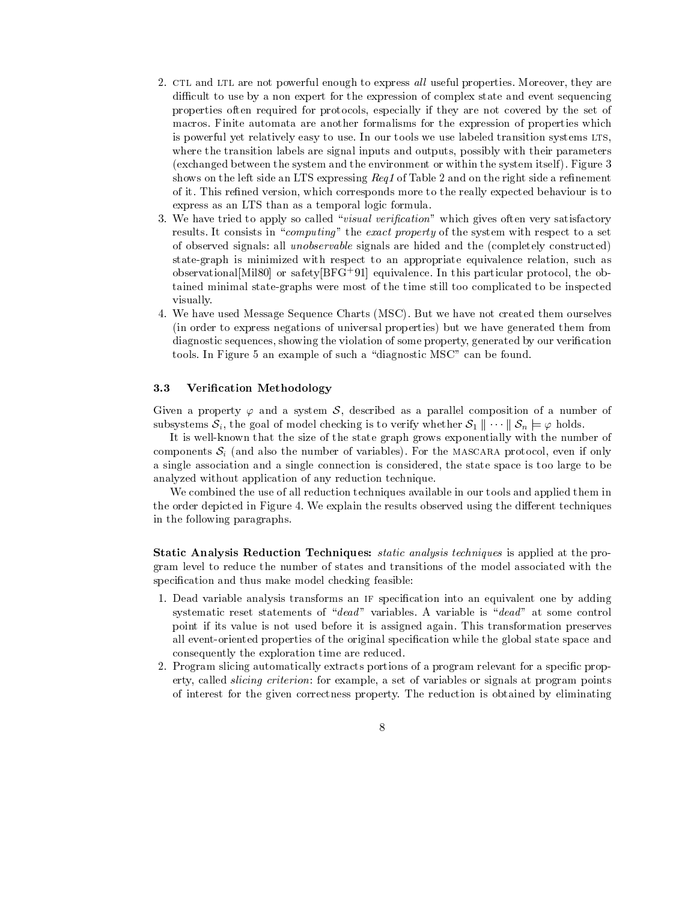- 2. CTL and LTL are not powerful enough to express all useful properties. Moreover, they are difficult to use by a non expert for the expression of complex state and event sequencing properties often required for protocols, especially if they are not covered by the set of macros. Finite automata are another formalisms for the expression of properties which is powerful yet relatively easy to use. In our tools we use labeled transition systems LTS, where the transition labels are signal inputs and outputs, possibly with their parameters (exchanged between the system and the environment or within thesystem itself ). Figure3 shows on the left side an LTS expressing  $\text{Re}q1$  of Table 2 and on the right side a refinement of it. This refined version, which corresponds more to the really expected behaviour is to express as an LTS than as a temporal logic formula.
- 3. We have tried to apply so called "visual verification" which gives often very satisfactory results. It consists in "computing" the exact property of the system with respect to a set of observed signals: all unobservable signals are hided and the(completely constructed) state-graph is minimized with respect to an appropriate equivalence relation, such as observational[Mil80] or safety[BFG+ 91] equivalence. In this particular protocol, the obtained minimal state-graphs were most of the time still too complicated to be inspected visually.
- 4. We have used Message Sequence Charts (MSC). But we have not created them ourselves (in order to express negations of universal properties) but we have generated them from diagnostic sequences, showing the violation of some property, generated by our verification tools. In Figure 5 an example of such a "diagnostic MSC" can be found.

#### 3.3 Verification Methodology

Given a property  $\varphi$  and a system S, described as a parallel composition of a number of subsystems  $S_i$ , the goal of model checking is to verify whether  $S_1 \parallel \cdots \parallel S_n \models \varphi$  holds.

It is well-known that the size of the state graph grows exponentially with thenumber of components  $S_i$  (and also the number of variables). For the MASCARA protocol, even if only a single association and a single connection is considered, the state space is too large to be analyzed without application of any reduction technique.

We combined the use of all reduction techniques available in our tools and applied them in the order depicted in Figure 4. We explain the results observed using the different techniques in the following paragraphs.

Static Analysis Reduction Techniques: static analysis techniques is applied at the program level to reduce the number of states and transitions of the model associated with the specification and thus make model checking feasible:

- 1. Dead variable analysis transforms an if specication into an equivalent one by adding systematic reset statements of " $dead$ " variables. A variable is " $dead$ " at some control point if its value is not used before it is assigned again. This transformation preserves all event-oriented properties of the original specication while the global state space and consequently the exploration time are reduced.
- 2. Program slicing automatically extracts portions of a program relevant for a specic property, called slicing criterion: for example, a set of variables or signals at program points of interest for the given correctness property. The reduction is obtained by eliminating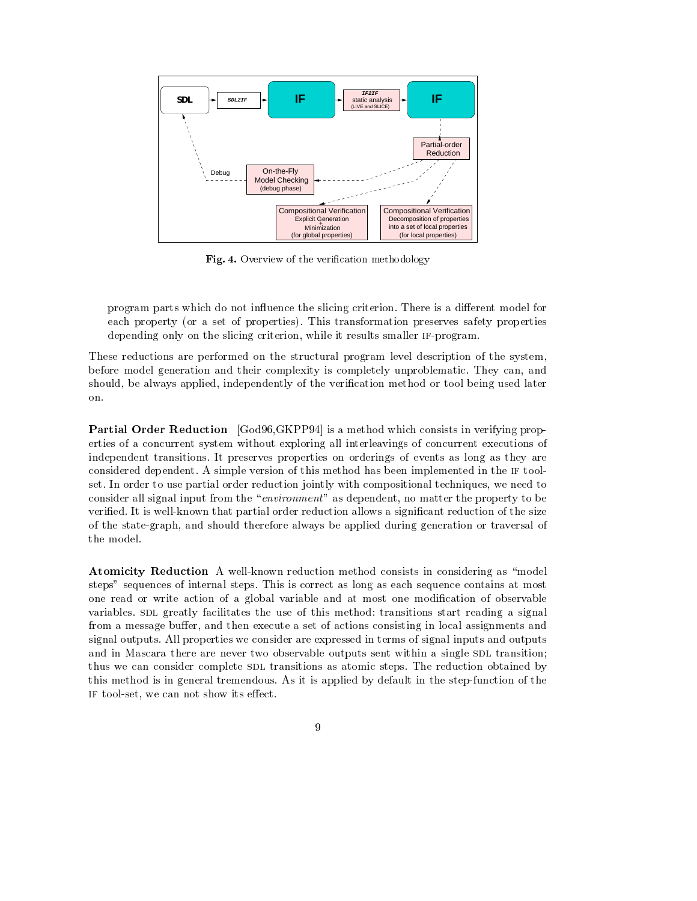

Fig. 4. Overview of the verification methodology

program parts which do not influence the slicing criterion. There is a different model for each property (or a set of properties). This transformation preserves safety properties depending only on the slicing criterion, while it results smaller IF-program.

These reductions are performed on the structural program level description of the system, before model generation and their complexity is completely unproblematic. They can, and should, be always applied, independently of the verification method or tool being used later

Partial Order Reduction [God96,GKPP94] is a method which consists in verifying properties of a concurrent system without exploring all interleavings of concurrent executions of independent transitions. It preserves properties on orderings of events as long as they are considered dependent. A simple version of this method has been implemented in the IF toolset. In order to use partial order reduction jointly with compositional techniques, we need to consider all signal input from the "*environment*" as dependent, no matter the property to be veried. It is well-known that partial order reduction allows a signicant reduction of the size of the state-graph, and should therefore always be applied during generation or traversal of the model.

Atomicity Reduction A well-known reduction method consists in considering as "model steps" sequences of internal steps. This is correct as long as each sequence contains at most one read or write action of a global variable and at most one modification of observable variables. SDL greatly facilitates the use of this method: transitions start reading a signal from a message buffer, and then execute a set of actions consisting in local assignments and signal outputs. All properties we consider are expressed in terms of signal inputs and outputs and in Mascara there are never two observable outputs sent within a single SDL transition; thus we can consider complete SDL transitions as atomic steps. The reduction obtained by this method is in general tremendous. As it is applied by default in thestep-function of the IF tool-set, we can not show its effect.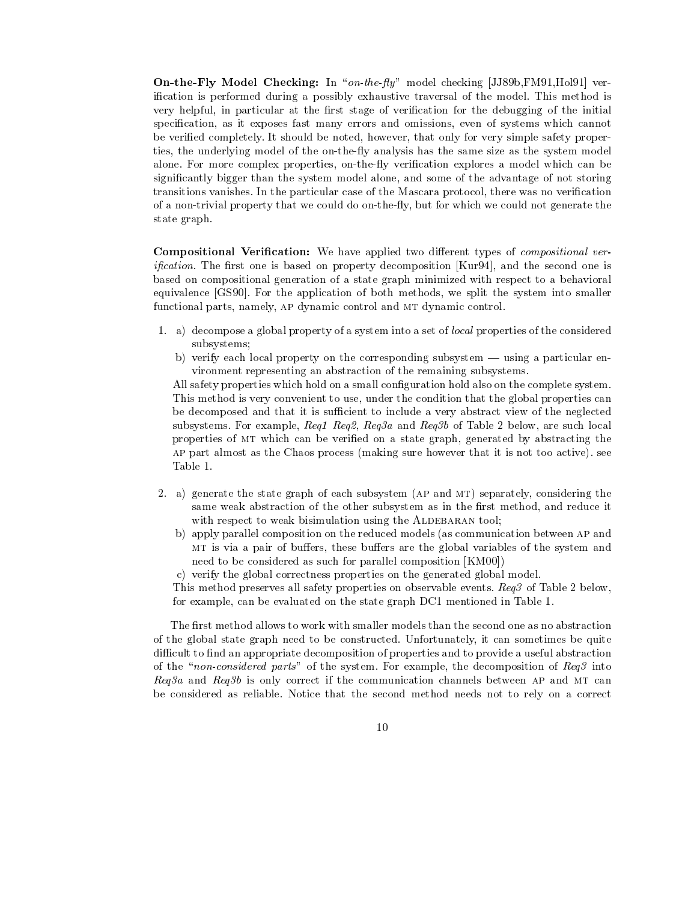**On-the-Fly Model Checking:** In "on-the-fly" model checking [JJ89b,FM91,Hol91] verication is performed during a possibly exhaustive traversal of the model. This method is very helpful, in particular at the first stage of verification for the debugging of the initial specication, as it exposes fast many errors and omissions, even of systems which cannot be verified completely. It should be noted, however, that only for very simple safety properties, the underlying model of the on-the-fly analysis has the same size as the system model alone. For more complex properties, on-the-fly verification explores a model which can be signicantly bigger than the system model alone, and some of the advantage of not storing transitions vanishes. In the particular case of the Mascara protocol, there was no verification of a non-trivial property that we could do on-the-fly, but for which we could not generate the state graph.

**Compositional Verification:** We have applied two different types of *compositional verification*. The first one is based on property decomposition  $\lceil \text{Kur94} \rceil$ , and the second one is based on compositional generation of a state graph minimized with respect to a behavioral equivalence [GS90]. For the application of both methods, we split the system into smaller functional parts, namely, AP dynamic control and MT dynamic control.

- 1. a) decompose a global property of a system into a set of local properties of the considered subsystems;
	- b) verify each local property on the corresponding subsystem  $-$  using a particular environment representing an abstraction of the remaining subsystems.

All safety properties which hold on a small conguration hold also on the complete system. This method is very convenient to use, under the condition that the global properties can be decomposed and that it is sufficient to include a very abstract view of the neglected subsystems. For example, Req1 Req2, Req3a and Req3b of Table 2 below, are such local properties of mt which can be veried on a state graph, generated by abstracting the ap part almost as the Chaos process (making sure however that it is not too active). see

- 2. a) generate the state graph of each subsystem (AP and MT) separately, considering the same weak abstraction of the other subsystem as in the first method, and reduce it with respect to weak bisimulation using the ALDEBARAN tool;
	- b) apply parallel composition on thereduced models (as communication between ap and MT is via a pair of buffers, these buffers are the global variables of the system and need to be considered as such for parallel composition [KM00])
	- c) verify the global correctness properties on thegenerated global model.

This method preserves all safety properties on observable events. Req3 of Table 2 below, for example, can be evaluated on the state graph DC1 mentioned in Table 1.

The first method allows to work with smaller models than the second one as no abstraction of the global state graph need to be constructed. Unfortunately, it can sometimes be quite difficult to find an appropriate decomposition of properties and to provide a useful abstraction of the "non-considered parts" of the system. For example, the decomposition of  $Req3$  into  $Reg3a$  and  $Reg3b$  is only correct if the communication channels between AP and MT can be considered as reliable. Notice that the second method needs not to rely on a correct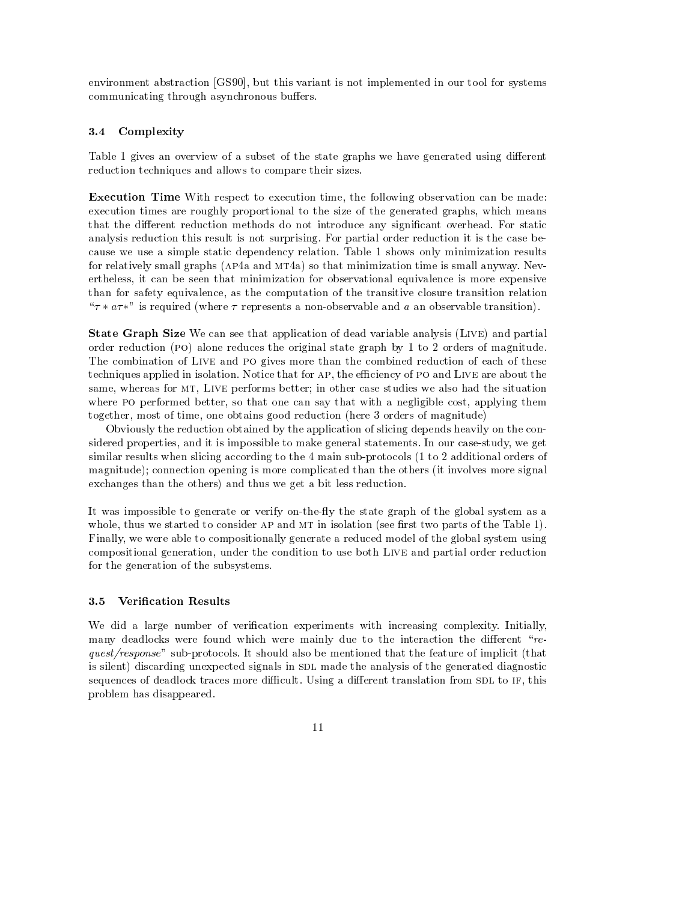environment abstraction [GS90], but this variant is not implemented in our tool for systems communicating through asynchronous buffers.

### 3.4 Complexity

Table 1 gives an overview of a subset of the state graphs we have generated using different reduction techniques and allows to compare their sizes.

Execution Time With respect to execution time, the following observation can be made: execution times are roughly proportional to the size of the generated graphs, which means that the different reduction methods do not introduce any significant overhead. For static analysis reduction this result is not surprising. For partial order reduction it is the case because we use a simple static dependency relation. Table 1 shows only minimization results for relatively small graphs (AP4a and MT4a) so that minimization time is small anyway. Nevertheless, it can be seen that minimization for observational equivalence is more expensive than for safety equivalence, as the computation of the transitive closure transition relation " $\tau * a \tau *$ " is required (where  $\tau$  represents a non-observable and a an observable transition).

State Graph Size We can see that application of dead variable analysis (Live) and partial order reduction (po) alone reduces the original state graph by 1 to 2 orders of magnitude. The combination of Live and po gives more than the combined reduction of each of these techniques applied in isolation. Notice that for AP, the efficiency of PO and LIVE are about the same, whereas for MT, LIVE performs better; in other case studies we also had the situation where PO performed better, so that one can say that with a negligible cost, applying them together, most of time, one obtains good reduction (here 3 orders of magnitude)

Obviously the reduction obtained by the application of slicing depends heavily on the considered properties, and it is impossible to make general statements. In our case-study, we get similar results when slicing according to the 4 main sub-protocols (1 to 2 additional orders of magnitude); connection opening is more complicated than theothers (it involves more signal exchanges than the others) and thus we get a bit less reduction.

It was impossible to generate or verify on-the-fly the state graph of the global system as a whole, thus we started to consider AP and MT in isolation (see first two parts of the Table 1). Finally, we were able to compositionally generate a reduced model of the global system using compositional generation, under the condition to use both Live and partial order reduction for the generation of the subsystems.

#### 3.5 **Verification Results**

We did a large number of verification experiments with increasing complexity. Initially, many deadlocks were found which were mainly due to the interaction the different  $\rm\degree re$ quest/response" sub-protocols. It should also be mentioned that the feature of implicit (that is silent) discarding unexpected signals in SDL made the analysis of the generated diagnostic sequences of deadlock traces more difficult. Using a different translation from SDL to IF, this problem has disappeared.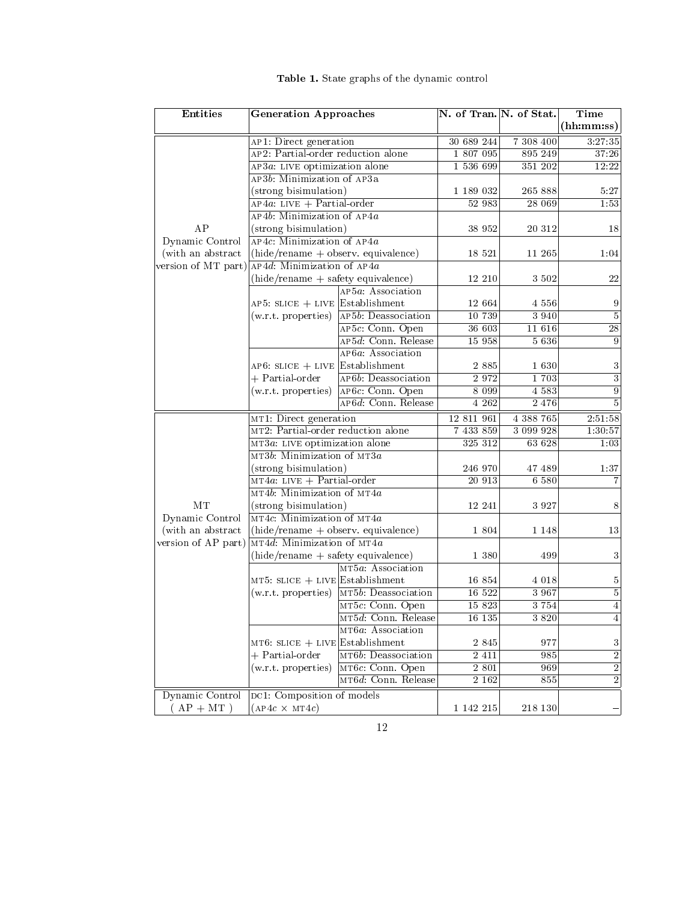| <b>Entities</b><br>N. of Tran. N. of Stat.<br>Time<br><b>Generation Approaches</b><br>(hh:mm:ss)<br>30 689 244<br>7 308 400<br>3.27.35<br>AP1: Direct generation<br>AP2: Partial-order reduction alone<br>1 807 095<br>895 249<br>AP3a: LIVE optimization alone<br>1 536 699<br>351 202<br>AP3b: Minimization of AP3a<br>(strong bisimulation)<br>1 189 032<br>265 888 | 37.26          |
|------------------------------------------------------------------------------------------------------------------------------------------------------------------------------------------------------------------------------------------------------------------------------------------------------------------------------------------------------------------------|----------------|
|                                                                                                                                                                                                                                                                                                                                                                        |                |
|                                                                                                                                                                                                                                                                                                                                                                        |                |
|                                                                                                                                                                                                                                                                                                                                                                        |                |
|                                                                                                                                                                                                                                                                                                                                                                        | 12:22          |
|                                                                                                                                                                                                                                                                                                                                                                        |                |
|                                                                                                                                                                                                                                                                                                                                                                        | 5:27           |
| $AP4a$ : LIVE + Partial-order<br>52 983<br>28 069                                                                                                                                                                                                                                                                                                                      | 1:53           |
| $AP4b$ : Minimization of $AP4a$                                                                                                                                                                                                                                                                                                                                        |                |
| AP<br>(strong bisimulation)<br>38 952<br>20 312                                                                                                                                                                                                                                                                                                                        | 18             |
| Dynamic Control<br>$AP4c$ : Minimization of $AP4a$                                                                                                                                                                                                                                                                                                                     |                |
| (with an abstract<br>$(hide/rename + observ. equivalence)$<br>18 5 21<br>11 265                                                                                                                                                                                                                                                                                        | 1:04           |
| version of MT part)<br>$AP4d$ : Minimization of AP4a                                                                                                                                                                                                                                                                                                                   |                |
| (hide/rename + safety equivalence)<br>12 210<br>3502                                                                                                                                                                                                                                                                                                                   | 22             |
| AP5a: Association                                                                                                                                                                                                                                                                                                                                                      |                |
| $AP5:$ SLICE + LIVE Establishment<br>12 664<br>4 5 5 6                                                                                                                                                                                                                                                                                                                 | 9              |
| (w.r.t. properties) AP5b: Deassociation<br>10 739<br>3 9 4 0                                                                                                                                                                                                                                                                                                           | 5              |
| AP5c: Conn. Open<br>36 603<br>11 616                                                                                                                                                                                                                                                                                                                                   | 28             |
| AP5d: Conn. Release<br>15 958<br>5 6 3 6                                                                                                                                                                                                                                                                                                                               | 9              |
| AP6a: Association                                                                                                                                                                                                                                                                                                                                                      |                |
| $AP6:$ SLICE + LIVE Establishment<br>2 8 8 5<br>1630                                                                                                                                                                                                                                                                                                                   | 3              |
| + Partial-order<br>AP6b: Deassociation<br>2 972<br>1703                                                                                                                                                                                                                                                                                                                | $\overline{3}$ |
| AP6c: Conn. Open<br>8 0 9 9<br>4583<br>(w.r.t. properties)                                                                                                                                                                                                                                                                                                             | 9              |
| AP6d: Conn. Release<br>2 4 7 6<br>4 2 6 2                                                                                                                                                                                                                                                                                                                              | $\overline{5}$ |
| MT1: Direct generation<br>12 811 961<br>4 388 765<br>2:51:58                                                                                                                                                                                                                                                                                                           |                |
| MT2: Partial-order reduction alone<br>3 099 928<br>7 433 859<br>1:30:57                                                                                                                                                                                                                                                                                                |                |
| 325 312<br>63 628<br>MT3a: LIVE optimization alone                                                                                                                                                                                                                                                                                                                     | 1:03           |
| MT3b: Minimization of MT3a                                                                                                                                                                                                                                                                                                                                             |                |
| (strong bisimulation)<br>246 970<br>47 489                                                                                                                                                                                                                                                                                                                             | 1:37           |
| $MT4a$ : LIVE + Partial-order<br>20 913<br>6 5 8 0                                                                                                                                                                                                                                                                                                                     |                |
| MT4b: Minimization of MT4a                                                                                                                                                                                                                                                                                                                                             |                |
| MT<br>(strong bisimulation)<br>12 241<br>3 9 2 7                                                                                                                                                                                                                                                                                                                       | 8              |
| MT4c: Minimization of MT4a<br>Dynamic Control                                                                                                                                                                                                                                                                                                                          |                |
| (with an abstract<br>$(hide/rename + observ. equivalence)$<br>1 804<br>1 1 4 8                                                                                                                                                                                                                                                                                         | 13             |
| $MT4d$ : Minimization of MT4a<br>version of AP part)                                                                                                                                                                                                                                                                                                                   |                |
| $(hide/rename + safety equivalence)$<br>1 380<br>499                                                                                                                                                                                                                                                                                                                   | 3              |
| MT5a: Association                                                                                                                                                                                                                                                                                                                                                      |                |
| $MT5$ : SLICE + LIVE Establishment<br>16 854<br>4 0 18                                                                                                                                                                                                                                                                                                                 | 5              |
| $MT5b$ : Deassociation<br>16 522<br>3 967<br>(w.r.t. properties)                                                                                                                                                                                                                                                                                                       | $\overline{5}$ |
| 15 823<br>MT5c: Conn. Open<br>3754                                                                                                                                                                                                                                                                                                                                     | $\overline{4}$ |
| MT5d: Conn. Release<br>16 135<br>3820                                                                                                                                                                                                                                                                                                                                  | 4              |
| MT6a: Association                                                                                                                                                                                                                                                                                                                                                      |                |
| $MT6$ : SLICE + LIVE Establishment<br>2 8 4 5<br>977                                                                                                                                                                                                                                                                                                                   | 3              |
| $+$ Partial order<br>MT6b: Deassociation<br>$2\;411$<br>985                                                                                                                                                                                                                                                                                                            | $\overline{2}$ |
| (w.r.t. properties)<br>2 801<br>MT6c: Conn. Open<br>969                                                                                                                                                                                                                                                                                                                | $\overline{2}$ |
|                                                                                                                                                                                                                                                                                                                                                                        | $\overline{2}$ |
| MT6d: Conn. Release<br>2 162<br>855                                                                                                                                                                                                                                                                                                                                    |                |
| Dynamic Control<br>DC1: Composition of models                                                                                                                                                                                                                                                                                                                          |                |

## Table 1. State graphs of the dynamic control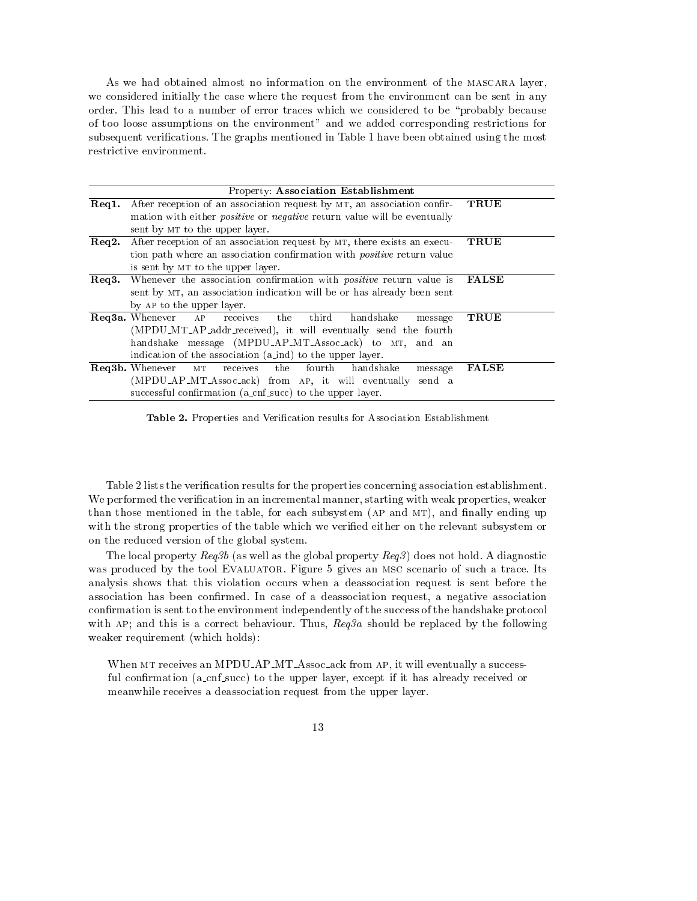As we had obtained almost no information on the environment of the mascara layer, we considered initially the case where the request from the environment can be sent in any order. This lead to a number of error traces which we considered to be \probably because of too loose assumptions on the environment" and we added corresponding restrictions for subsequent verifications. The graphs mentioned in Table 1 have been obtained using the most restrictive environment.

|              | Property: Association Establishment                                                   |              |
|--------------|---------------------------------------------------------------------------------------|--------------|
| $\bf{Req1}.$ | After reception of an association request by MT, an association confir-               | <b>TRUE</b>  |
|              | mation with either <i>positive</i> or <i>negative</i> return value will be eventually |              |
|              | sent by MT to the upper layer.                                                        |              |
| Req2.        | After reception of an association request by MT, there exists an execu-               | <b>TRUE</b>  |
|              | tion path where an association confirmation with <i>positive</i> return value         |              |
|              | is sent by MT to the upper layer.                                                     |              |
| $\bf{Reg3.}$ | Whenever the association confirmation with <i>positive</i> return value is            | <b>FALSE</b> |
|              | sent by MT, an association indication will be or has already been sent                |              |
|              | by AP to the upper layer.                                                             |              |
|              | handshake<br>third<br>Req3a. Whenever<br>receives<br>the<br>AP<br>message             | <b>TRUE</b>  |
|              | (MPDU_MT_AP_addr_received), it will eventually send the fourth                        |              |
|              | handshake message (MPDU_AP_MT_Assoc_ack) to MT, and an                                |              |
|              | indication of the association (a_ind) to the upper layer.                             |              |
|              | receives<br>the<br>fourth<br>handshake<br>Req3b. Whenever<br>MT.<br>message           | <b>FALSE</b> |
|              | (MPDU_AP_MT_Assoc_ack) from AP, it will eventually<br>send a                          |              |
|              | successful confirmation (a_cnf_succ) to the upper layer.                              |              |

Table 2. Properties and Verification results for Association Establishment

Table 2 lists the verification results for the properties concerning association establishment. We performed the verication in an incremental manner, starting with weak properties, weaker than those mentioned in the table, for each subsystem (AP and MT), and finally ending up with the strong properties of the table which we verified either on the relevant subsystem or on the reduced version of the global system.

The local property  $\text{Reg3b}$  (as well as the global property  $\text{Reg3}$ ) does not hold. A diagnostic was produced by the toolEvaluator. Figure 5 gives an msc scenario of such a trace. Its analysis shows that this violation occurs when a deassociation request is sent before the association has been confirmed. In case of a deassociation request, a negative association confirmation is sent to the environment independently of the success of the handshake protocol with AP; and this is a correct behaviour. Thus,  $\text{Re}q\text{a}$  should be replaced by the following weaker requirement (which holds):

When MT receives an MPDU AP MT Assoc ack from AP, it will eventually a successful confirmation (a cnf succ) to the upper layer, except if it has already received or meanwhile receives a deassociation request from the upper layer.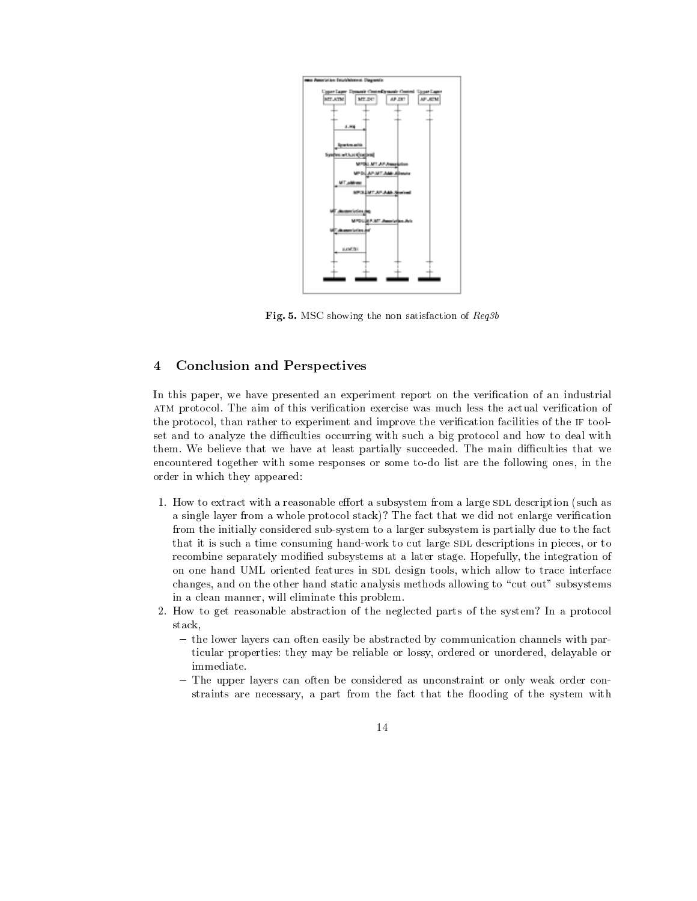

Fig. 5. MSC showing the non satisfaction of  $\text{Reg3b}$ 

## 4 Conclusion and Perspectives

In this paper, we have presented an experiment report on the verification of an industrial ATM protocol. The aim of this verification exercise was much less the actual verification of the protocol, than rather to experiment and improve the verification facilities of the IF toolset and to analyze the difficulties occurring with such a big protocol and how to deal with them. We believe that we have at least partially succeeded. The main difficulties that we encountered together with some responses or some to-do list are the following ones, in the order in which they appeared:

- 1. How to extract with a reasonable effort a subsystem from a large SDL description (such as a single layer from a whole protocol stack)? The fact that we did not enlarge verication from the initially considered sub-system to a larger subsystem is partially due to the fact that it is such a time consuming hand-work to cut large SDL descriptions in pieces, or to recombine separately modied subsystems at a later stage. Hopefully, the integration of on one hand UML oriented features in SDL design tools, which allow to trace interface changes, and on the other hand static analysis methods allowing to "cut out" subsystems in a clean manner, will eliminate this problem.
- 2. How to get reasonable abstraction of the neglected parts of the system? In a protocol stack, and the stack of the stack of the stack, and the stack of the stack, and the stack of the stack, and
	- $-$  the lower layers can often easily be abstracted by communication channels with particular properties: they may be reliable or lossy, ordered or unordered, delayable or immediate.
	- { The upper layers can often be considered as unconstraint or only weak order constraints are necessary, a part from the fact that the flooding of the system with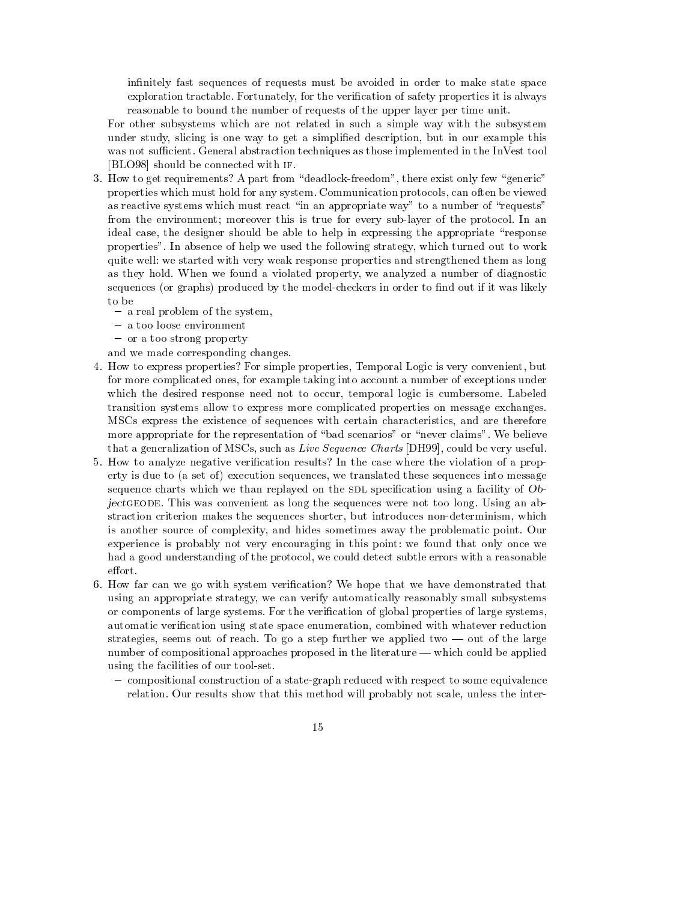infinitely fast sequences of requests must be avoided in order to make state space exploration tractable. Fortunately, for the verification of safety properties it is always reasonable to bound the number of requests of the upper layer per time unit.

For other subsystems which are not related in such a simple way with the subsystem under study, slicing is one way to geta simplied description, but in our example this was not sufficient. General abstraction techniques as those implemented in the InVest tool [BLO98] should be connected with if.

- 3. How to get requirements? A part from "deadlock-freedom", there exist only few "generic" properties which must hold for any system. Communication protocols, can often be viewed as reactive systems which must react "in an appropriate way" to a number of "requests" from the environment; moreover this is true for every sub-layer of the protocol. In an ideal case, the designer should be able to help in expressing the appropriate \response properties". In absence of help we used the following strategy, which turned out to work quite well: we started with very weak response properties and strengthened them as long as they hold. When we found a violated property, we analyzed a number of diagnostic sequences (or graphs) produced by the model-checkers in order to find out if it was likely to be
	- ${\bf r}$  real problem of the system, we are also system, we are also system, we are also system, we are also system, we are also system, we are also system, we are also system, we are also system, we are also system, we are
	- { a too loose environment
	- or a too strong property
	- and we made corresponding changes.
- 4. How to express properties? For simple properties, Temporal Logic is very convenient, but for more complicated ones, for example taking into account a number of exceptions under which the desired response need not to occur, temporal logic is cumbersome. Labeled transition systems allow to express more complicated properties on message exchanges. MSCs express the existence of sequences with certain characteristics, and are therefore more appropriate for the representation of "bad scenarios" or "never claims". We believe that a generalization of MSCs, such as *Live Sequence Charts* [DH99], could be very useful.
- 5. How to analyze negative verication results? In the case where the violation of a property is due to (a set of) execution sequences, we translated these sequences into message sequence charts which we than replayed on the SDL specification using a facility of  $Ob$ jectgeode. This was convenient as long the sequences were not too long. Using an abstraction criterion makes the sequences shorter, but introduces non-determinism, which is another source of complexity, and hides sometimes away the problematic point. Our experience is probably not very encouraging in this point: we found that only once we had agood understanding of the protocol, we could detect subtle errors with a reasonable effort.
- 6. How far can we go with system verication? We hope that we have demonstrated that using an appropriate strategy, we can verify automatically reasonably small subsystems or components of large systems. For the verication of global properties of large systems, automatic verication using state space enumeration, combined with whatever reduction strategies, seems out of reach. To go a step further we applied two  $\sim$  out of the large number of compositional approaches proposed in the literature  $-\text{which could be applied}$ using the facilities of our tool-set.
	- { compositional construction of a state-graph reduced with respect to some equivalence relation. Our results show that this method will probably not scale, unless the inter-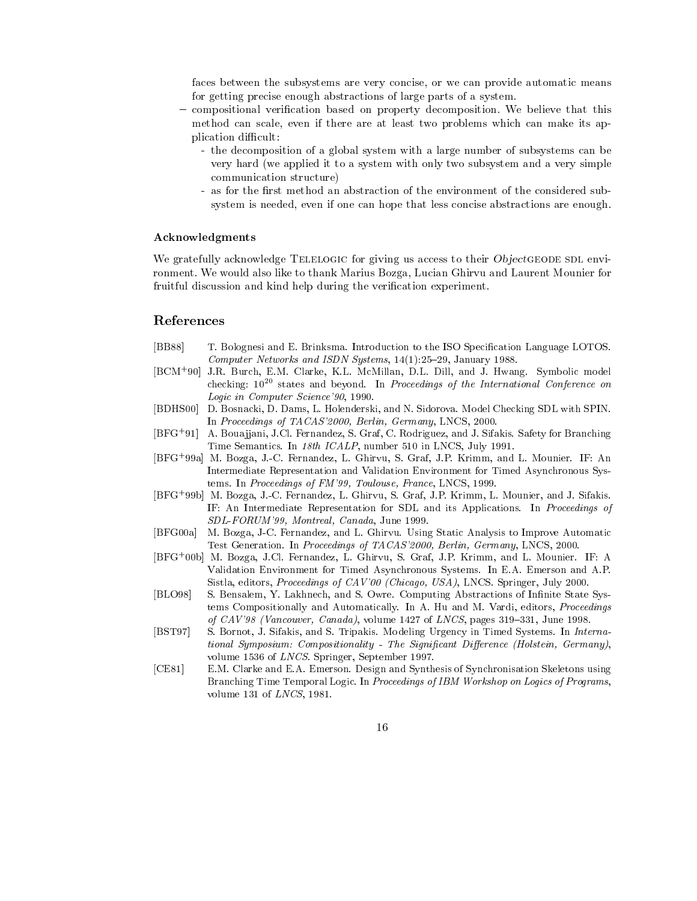faces between the subsystems are very concise, or we can provide automatic means for getting precise enough abstractions of large parts of a system.

- compositional verification based on property decomposition. We believe that this method can scale, even if there are at least two problems which can make its application difficult:
	- the decomposition of a global system with alarge number of subsystems can be very hard (we applied it to a system with only two subsystem and avery simple communication structure) communication structure) and the communication structure  $\mathcal{C}$
	- as for the first method an abstraction of the environment of the considered subsystem is needed, even if one can hope that less concise abstractions are enough.

### Acknowledgments

We gratefully acknowledge TELELOGIC for giving us access to their ObjectGEODE SDL environment. We would also like to thank Marius Bozga, Lucian Ghirvu and Laurent Mounier for fruitful discussion and kind help during the verification experiment.

### References

- [BB88] T. Bolognesi and E. Brinksma. Introduction to the ISO Specication Language LOTOS. Computer Networks and ISDN Systems,  $14(1):25{-}29$ , January 1988.
- [BCM<sup>+</sup> 90] J.R. Burch, E.M. Clarke, K.L. McMillan, D.L. Dill, and J. Hwang. Symbolic model checking:  $10^{20}$  states and beyond. In *Proceedings of the International Conference on* Logic in Computer Science'90, 1990.
- [BDHS00] D. Bosnacki, D. Dams, L. Holenderski, and N. Sidorova. Model Checking SDL with SPIN. In Proceedings of TACAS'2000, Berlin, Germany, LNCS, 2000.
- [BFG+ 91] A. Boua jjani, J.Cl. Fernandez, S. Graf, C. Rodriguez, and J. Sifakis. Safety for Branching Time Semantics. In 18th ICALP, number 510 in LNCS, July 1991.
- [BFG+ 99a] M. Bozga, J.-C. Fernandez, L. Ghirvu, S. Graf, J.P. Krimm, and L. Mounier. IF: An Intermediate Representation and Validation Environment for Timed Asynchronous Systems. In Proceedings of FM'99, Toulouse, France, LNCS, 1999.
- [BFG+ 99b] M. Bozga, J.-C. Fernandez, L. Ghirvu, S. Graf, J.P. Krimm, L. Mounier, and J. Sifakis. IF: An Intermediate Representation for SDL and its Applications. In Proceedings of SDL-FORUM'99, Montreal, Canada, June 1999.
- [BFG00a] M. Bozga, J-C. Fernandez, and L. Ghirvu. Using Static Analysis to Improve Automatic Test Generation. In Proceedings of TACAS'2000, Berlin, Germany, LNCS, 2000.
- [BFG+ 00b] M. Bozga, J.Cl. Fernandez, L. Ghirvu, S. Graf, J.P. Krimm, and L. Mounier. IF: A Validation Environment for Timed Asynchronous Systems. In E.A. Emerson and A.P.Sistla, editors, Proceedings of CAV'00 (Chicago, USA), LNCS. Springer, July 2000.
- [BLO98] S. Bensalem, Y. Lakhnech, and S. Owre. Computing Abstractions of Infinite State Systems Compositionally and Automatically. In A. Hu and M. Vardi, editors, Proceedings of  $CAV'98$  (Vancouver, Canada), volume 1427 of LNCS, pages 319-331, June 1998.
- [BST97] S. Bornot, J. Sifakis, and S. Tripakis. Modeling Urgency in Timed Systems. In International Symposium: Compositionality - The Significant Difference (Holstein, Germany), volume 1536 of LNCS. Springer, September 1997.
- [CE81] E.M. Clarke and E.A. Emerson. Design and Synthesis of Synchronisation Skeletons using Branching Time Temporal Logic. In Proceedings of IBM Workshop on Logics of Programs, volume 131 of LNCS, 1981.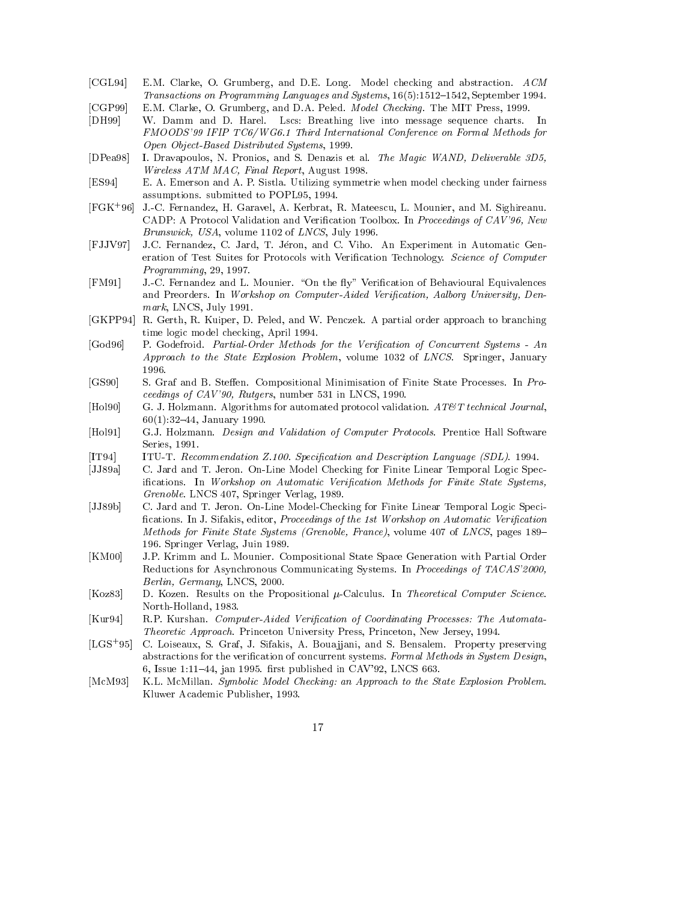- [CGL94] E.M. Clarke, O. Grumberg, and D.E. Long. Model checking and abstraction. ACM Transactions on Programming Languages and Systems,  $16(5):1512{-}1542$ , September 1994.
- [CGP99] E.M. Clarke, O. Grumberg, and D.A. Peled. Model Checking. The MIT Press, 1999.
- [DH99] W. Damm and D. Harel. Lscs: Breathing live into message sequence charts. In FMOODS'99 IFIP TC6/WG6.1 Third International Conference on Formal Methods for Open Object-Based Distributed Systems, 1999.
- [DPea98] I. Dravapoulos, N. Pronios, and S. Denazis et al. The Magic WAND, Deliverable 3D5, Wireless ATM MAC, Final Report, August 1998.
- [ES94] E. A. Emerson and A. P. Sistla. Utilizing symmetrie when model checking under fairness assumptions. submitted to POPL95, 1994.
- [FGK+ 96] J.-C. Fernandez, H. Garavel, A. Kerbrat, R. Mateescu, L. Mounier, and M. Sighireanu. CADP: A Protocol Validation and Verification Toolbox. In Proceedings of  $CAV'96$ , New Brunswick, USA, volume 1102 of LNCS, July 1996.
- [FJJV97] J.C. Fernandez, C. Jard, T. Jeron, and C. Viho.An Experiment in Automatic Generation of Test Suites for Protocols with Verification Technology. Science of Computer Programming, 29, 1997.
- [FM91] J.-C. Fernandez and L. Mounier. "On the fly" Verification of Behavioural Equivalences and Preorders. In Workshop on Computer-Aided Verification, Aalborg University, Denmark, LNCS, July 1991.
- [GKPP94] R. Gerth, R. Kuiper, D. Peled, and W. Penczek. A partial order approach to branching time logic model checking, April 1994.
- [God96] P. Godefroid. Partial-Order Methods for the Verification of Concurrent Systems An Approach to the State Explosion Problem, volume 1032 of LNCS. Springer, January 1996.
- [GS90] S. Graf and B. Steen. Compositional Minimisation of Finite State Processes. In Pro ceedings of CAV'90, Rutgers, number 531 in LNCS, 1990.
- [Hol90] G. J. Holzmann. Algorithms for automated protocol validation.  $ATET$  technical Journal,  $60(1):32{-}44$ , January 1990.
- [Hol91] G.J. Holzmann. Design and Validation of Computer Protocols. Prentice Hall Software Series, 1991.
- [IT94] ITU-T. Recommendation Z.100. Specification and Description Language (SDL). 1994.
- [JJ89a] C. Jard and T. Jeron. On-Line Model Checking for Finite Linear Temporal Logic Specifications. In Workshop on Automatic Verification Methods for Finite State Systems, Grenoble. LNCS 407, Springer Verlag, 1989.
- [JJ89b] C. Jard and T. Jeron. On-Line Model-Checking for Finite Linear Temporal Logic Speci fications. In J. Sifakis, editor, *Proceedings of the 1st Workshop on Automatic Verification* Methods for Finite State Systems (Grenoble, France), volume 407 of LNCS, pages 189– 196. Springer Verlag, Juin 1989.
- [KM00] J.P. Krimm and L. Mounier. Compositional State Space Generation with Partial Order Reductions for Asynchronous Communicating Systems. In Proceedings of TACAS'2000, Berlin, Germany, LNCS, 2000.
- [Koz83] D. Kozen. Results on the Propositional  $\mu$ -Calculus. In Theoretical Computer Science. North-Holland, 1983.
- [Kur94] R.P. Kurshan. Computer-Aided Verification of Coordinating Processes: The Automata-Theoretic Approach. Princeton University Press, Princeton, New Jersey, 1994.
- [LGS<sup>+</sup> 95] C. Loiseaux, S. Graf, J. Sifakis, A. Boua jjani, and S. Bensalem. Property preserving abstractions for the verification of concurrent systems. Formal Methods in System Design, 6, Issue 1:11-44, jan 1995. first published in CAV'92, LNCS 663.
- [McM93] K.L. McMillan. Symbolic Model Checking: an Approach to the State Explosion Problem. Kluwer Academic Publisher, 1993.